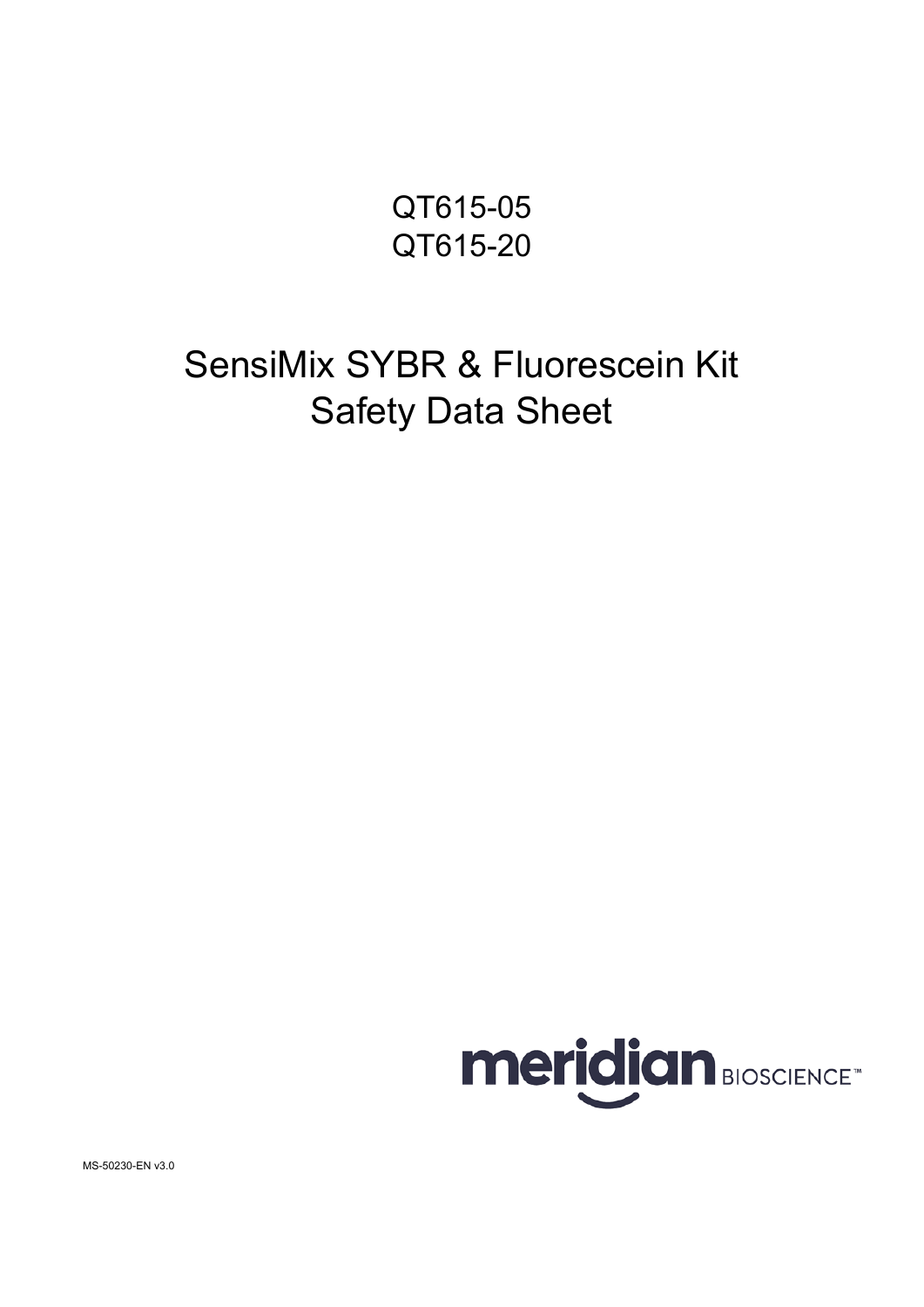QT615-05 QT615-20

# SensiMix SYBR & Fluorescein Kit Safety Data Sheet



MS-50230-EN v3.0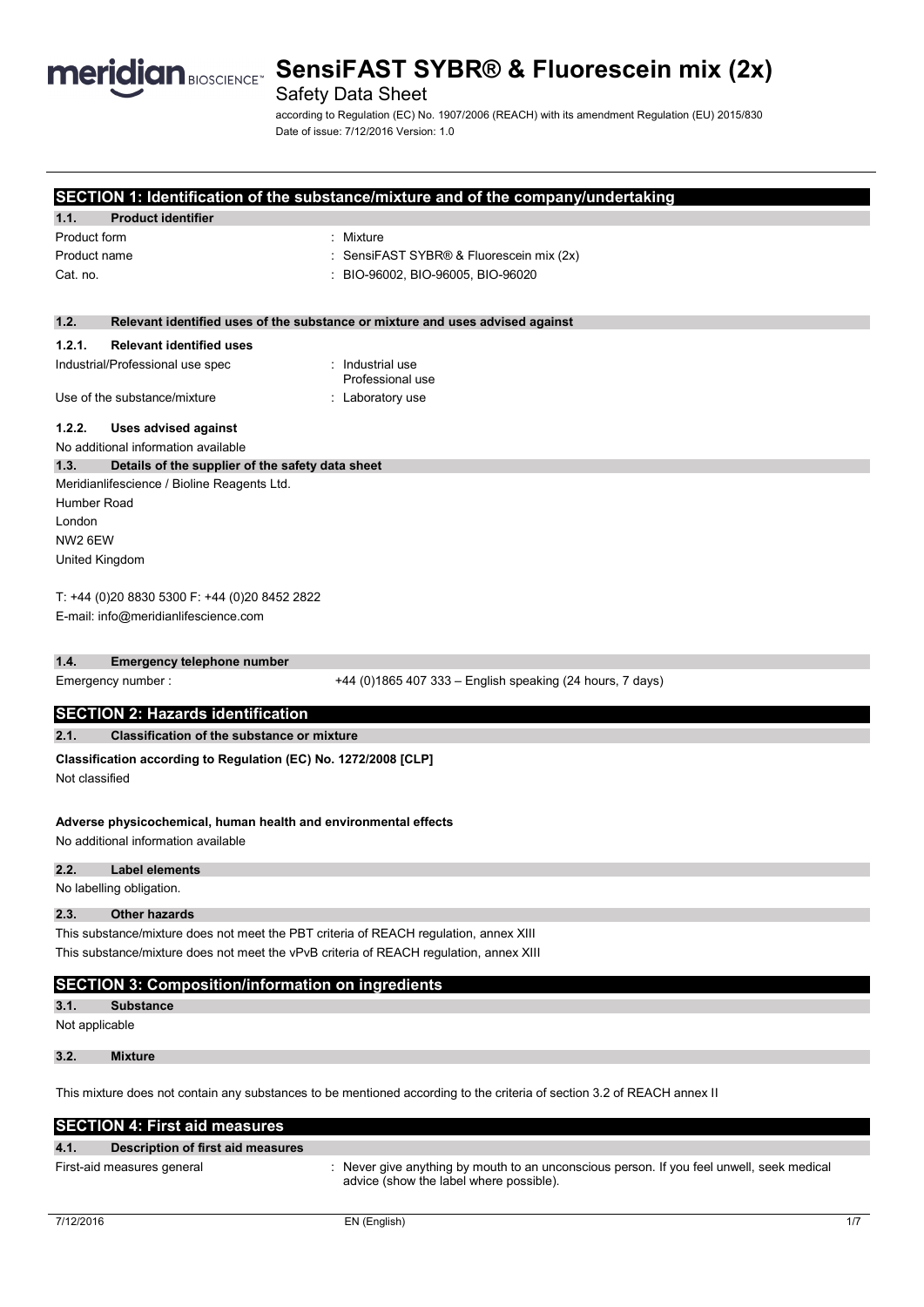

# **Meridian BIOSCIENCE<sup>®</sup> SensiFAST SYBR® & Fluorescein mix (2x)**

# Safety Data Sheet

according to Regulation (EC) No. 1907/2006 (REACH) with its amendment Regulation (EU) 2015/830 Date of issue: 7/12/2016 Version: 1.0

|                                                                                                                                                                                 |                                                                 | SECTION 1: Identification of the substance/mixture and of the company/undertaking                                       |
|---------------------------------------------------------------------------------------------------------------------------------------------------------------------------------|-----------------------------------------------------------------|-------------------------------------------------------------------------------------------------------------------------|
| 1.1.                                                                                                                                                                            | <b>Product identifier</b>                                       |                                                                                                                         |
| Product form                                                                                                                                                                    |                                                                 | : Mixture                                                                                                               |
| Product name                                                                                                                                                                    |                                                                 | SensiFAST SYBR® & Fluorescein mix (2x)                                                                                  |
| Cat. no.                                                                                                                                                                        |                                                                 | : BIO-96002, BIO-96005, BIO-96020                                                                                       |
|                                                                                                                                                                                 |                                                                 |                                                                                                                         |
| 1.2.                                                                                                                                                                            |                                                                 | Relevant identified uses of the substance or mixture and uses advised against                                           |
| 1.2.1.                                                                                                                                                                          | <b>Relevant identified uses</b>                                 |                                                                                                                         |
|                                                                                                                                                                                 | Industrial/Professional use spec                                | : Industrial use<br>Professional use                                                                                    |
|                                                                                                                                                                                 | Use of the substance/mixture                                    | : Laboratory use                                                                                                        |
| 1.2.2.                                                                                                                                                                          | <b>Uses advised against</b>                                     |                                                                                                                         |
|                                                                                                                                                                                 | No additional information available                             |                                                                                                                         |
| 1.3.                                                                                                                                                                            | Details of the supplier of the safety data sheet                |                                                                                                                         |
|                                                                                                                                                                                 | Meridianlifescience / Bioline Reagents Ltd.                     |                                                                                                                         |
| Humber Road                                                                                                                                                                     |                                                                 |                                                                                                                         |
| London                                                                                                                                                                          |                                                                 |                                                                                                                         |
| NW <sub>2</sub> 6EW                                                                                                                                                             |                                                                 |                                                                                                                         |
|                                                                                                                                                                                 | United Kingdom                                                  |                                                                                                                         |
|                                                                                                                                                                                 | T: +44 (0)20 8830 5300 F: +44 (0)20 8452 2822                   |                                                                                                                         |
|                                                                                                                                                                                 | E-mail: info@meridianlifescience.com                            |                                                                                                                         |
|                                                                                                                                                                                 |                                                                 |                                                                                                                         |
| 1.4.                                                                                                                                                                            | <b>Emergency telephone number</b>                               |                                                                                                                         |
|                                                                                                                                                                                 | Emergency number :                                              | +44 (0)1865 407 333 - English speaking (24 hours, 7 days)                                                               |
|                                                                                                                                                                                 |                                                                 |                                                                                                                         |
|                                                                                                                                                                                 | <b>SECTION 2: Hazards identification</b>                        |                                                                                                                         |
| 2.1.                                                                                                                                                                            | <b>Classification of the substance or mixture</b>               |                                                                                                                         |
|                                                                                                                                                                                 | Classification according to Regulation (EC) No. 1272/2008 [CLP] |                                                                                                                         |
| Not classified                                                                                                                                                                  |                                                                 |                                                                                                                         |
|                                                                                                                                                                                 |                                                                 |                                                                                                                         |
|                                                                                                                                                                                 | Adverse physicochemical, human health and environmental effects |                                                                                                                         |
|                                                                                                                                                                                 | No additional information available                             |                                                                                                                         |
|                                                                                                                                                                                 |                                                                 |                                                                                                                         |
| 2.2.                                                                                                                                                                            | Label elements                                                  |                                                                                                                         |
|                                                                                                                                                                                 | No labelling obligation.                                        |                                                                                                                         |
| 2.3.                                                                                                                                                                            | <b>Other hazards</b>                                            |                                                                                                                         |
|                                                                                                                                                                                 |                                                                 |                                                                                                                         |
| This substance/mixture does not meet the PBT criteria of REACH regulation, annex XIII<br>This substance/mixture does not meet the vPvB criteria of REACH regulation, annex XIII |                                                                 |                                                                                                                         |
|                                                                                                                                                                                 |                                                                 |                                                                                                                         |
|                                                                                                                                                                                 | <b>SECTION 3: Composition/information on ingredients</b>        |                                                                                                                         |
| 3.1.<br><b>Substance</b>                                                                                                                                                        |                                                                 |                                                                                                                         |
| Not applicable                                                                                                                                                                  |                                                                 |                                                                                                                         |
|                                                                                                                                                                                 |                                                                 |                                                                                                                         |
| 3.2.                                                                                                                                                                            | <b>Mixture</b>                                                  |                                                                                                                         |
|                                                                                                                                                                                 |                                                                 | This mixture does not contain any substances to be mentioned according to the criteria of section 3.2 of REACH annex II |
|                                                                                                                                                                                 |                                                                 |                                                                                                                         |
|                                                                                                                                                                                 | <b>SECTION 4: First aid measures</b>                            |                                                                                                                         |

| 4.1. | Description of first aid measures |                                                                                                                                      |
|------|-----------------------------------|--------------------------------------------------------------------------------------------------------------------------------------|
|      | First-aid measures general        | : Never give anything by mouth to an unconscious person. If you feel unwell, seek medical<br>advice (show the label where possible). |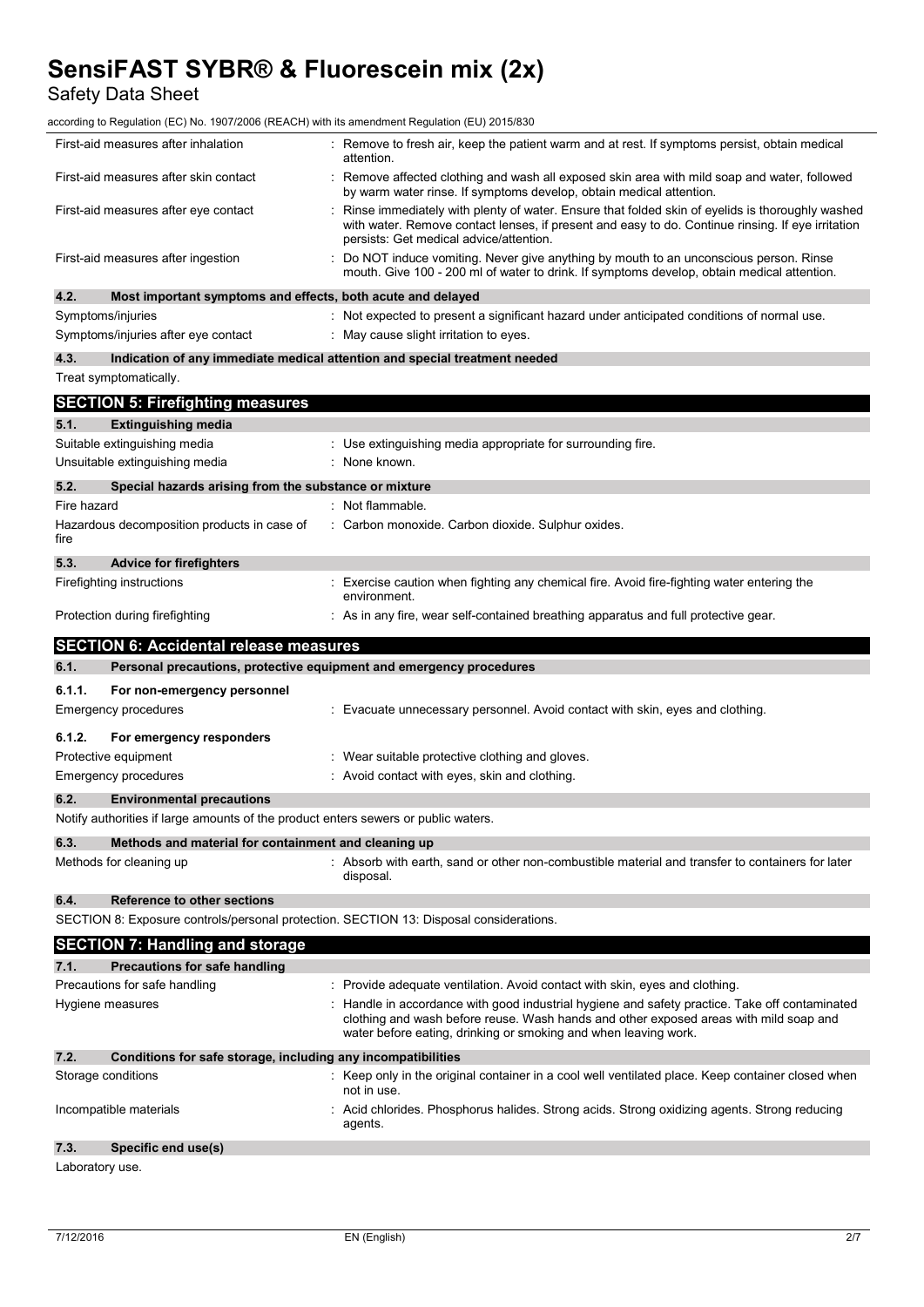Safety Data Sheet

according to Regulation (EC) No. 1907/2006 (REACH) with its amendment Regulation (EU) 2015/830

|             | First-aid measures after inhalation                                                    | : Remove to fresh air, keep the patient warm and at rest. If symptoms persist, obtain medical<br>attention.                                                                                                                                              |
|-------------|----------------------------------------------------------------------------------------|----------------------------------------------------------------------------------------------------------------------------------------------------------------------------------------------------------------------------------------------------------|
|             | First-aid measures after skin contact                                                  | Remove affected clothing and wash all exposed skin area with mild soap and water, followed<br>by warm water rinse. If symptoms develop, obtain medical attention.                                                                                        |
|             | First-aid measures after eye contact                                                   | Rinse immediately with plenty of water. Ensure that folded skin of eyelids is thoroughly washed<br>with water. Remove contact lenses, if present and easy to do. Continue rinsing. If eye irritation<br>persists: Get medical advice/attention.          |
|             | First-aid measures after ingestion                                                     | Do NOT induce vomiting. Never give anything by mouth to an unconscious person. Rinse<br>mouth. Give 100 - 200 ml of water to drink. If symptoms develop, obtain medical attention.                                                                       |
| 4.2.        | Most important symptoms and effects, both acute and delayed                            |                                                                                                                                                                                                                                                          |
|             | Symptoms/injuries                                                                      | : Not expected to present a significant hazard under anticipated conditions of normal use.                                                                                                                                                               |
|             | Symptoms/injuries after eye contact                                                    | May cause slight irritation to eyes.                                                                                                                                                                                                                     |
| 4.3.        |                                                                                        | Indication of any immediate medical attention and special treatment needed                                                                                                                                                                               |
|             | Treat symptomatically.                                                                 |                                                                                                                                                                                                                                                          |
|             | <b>SECTION 5: Firefighting measures</b>                                                |                                                                                                                                                                                                                                                          |
| 5.1.        | <b>Extinguishing media</b>                                                             |                                                                                                                                                                                                                                                          |
|             | Suitable extinguishing media                                                           | : Use extinguishing media appropriate for surrounding fire.                                                                                                                                                                                              |
|             | Unsuitable extinguishing media                                                         | None known.                                                                                                                                                                                                                                              |
| 5.2.        | Special hazards arising from the substance or mixture                                  |                                                                                                                                                                                                                                                          |
| Fire hazard |                                                                                        | : Not flammable.                                                                                                                                                                                                                                         |
| fire        | Hazardous decomposition products in case of                                            | : Carbon monoxide. Carbon dioxide. Sulphur oxides.                                                                                                                                                                                                       |
| 5.3.        | <b>Advice for firefighters</b>                                                         |                                                                                                                                                                                                                                                          |
|             | Firefighting instructions                                                              | : Exercise caution when fighting any chemical fire. Avoid fire-fighting water entering the<br>environment.                                                                                                                                               |
|             | Protection during firefighting                                                         | : As in any fire, wear self-contained breathing apparatus and full protective gear.                                                                                                                                                                      |
|             | <b>SECTION 6: Accidental release measures</b>                                          |                                                                                                                                                                                                                                                          |
| 6.1.        | Personal precautions, protective equipment and emergency procedures                    |                                                                                                                                                                                                                                                          |
|             |                                                                                        |                                                                                                                                                                                                                                                          |
| 6.1.1.      | For non-emergency personnel                                                            |                                                                                                                                                                                                                                                          |
|             | <b>Emergency procedures</b>                                                            | : Evacuate unnecessary personnel. Avoid contact with skin, eyes and clothing.                                                                                                                                                                            |
| 6.1.2.      | For emergency responders                                                               |                                                                                                                                                                                                                                                          |
|             | Protective equipment                                                                   | Wear suitable protective clothing and gloves.                                                                                                                                                                                                            |
|             | <b>Emergency procedures</b>                                                            | : Avoid contact with eyes, skin and clothing.                                                                                                                                                                                                            |
| 6.2.        | <b>Environmental precautions</b>                                                       |                                                                                                                                                                                                                                                          |
|             | Notify authorities if large amounts of the product enters sewers or public waters.     |                                                                                                                                                                                                                                                          |
| 6.3.        | Methods and material for containment and cleaning up                                   |                                                                                                                                                                                                                                                          |
|             | Methods for cleaning up                                                                | : Absorb with earth, sand or other non-combustible material and transfer to containers for later<br>disposal.                                                                                                                                            |
| 6.4.        | <b>Reference to other sections</b>                                                     |                                                                                                                                                                                                                                                          |
|             | SECTION 8: Exposure controls/personal protection. SECTION 13: Disposal considerations. |                                                                                                                                                                                                                                                          |
|             |                                                                                        |                                                                                                                                                                                                                                                          |
| 7.1.        | <b>SECTION 7: Handling and storage</b><br><b>Precautions for safe handling</b>         |                                                                                                                                                                                                                                                          |
|             | Precautions for safe handling                                                          | Provide adequate ventilation. Avoid contact with skin, eyes and clothing.                                                                                                                                                                                |
|             | Hygiene measures                                                                       | Handle in accordance with good industrial hygiene and safety practice. Take off contaminated<br>clothing and wash before reuse. Wash hands and other exposed areas with mild soap and<br>water before eating, drinking or smoking and when leaving work. |
| 7.2.        | Conditions for safe storage, including any incompatibilities                           |                                                                                                                                                                                                                                                          |
|             | Storage conditions                                                                     | Keep only in the original container in a cool well ventilated place. Keep container closed when<br>not in use.                                                                                                                                           |
|             | Incompatible materials                                                                 | Acid chlorides. Phosphorus halides. Strong acids. Strong oxidizing agents. Strong reducing<br>agents.                                                                                                                                                    |

Laboratory use.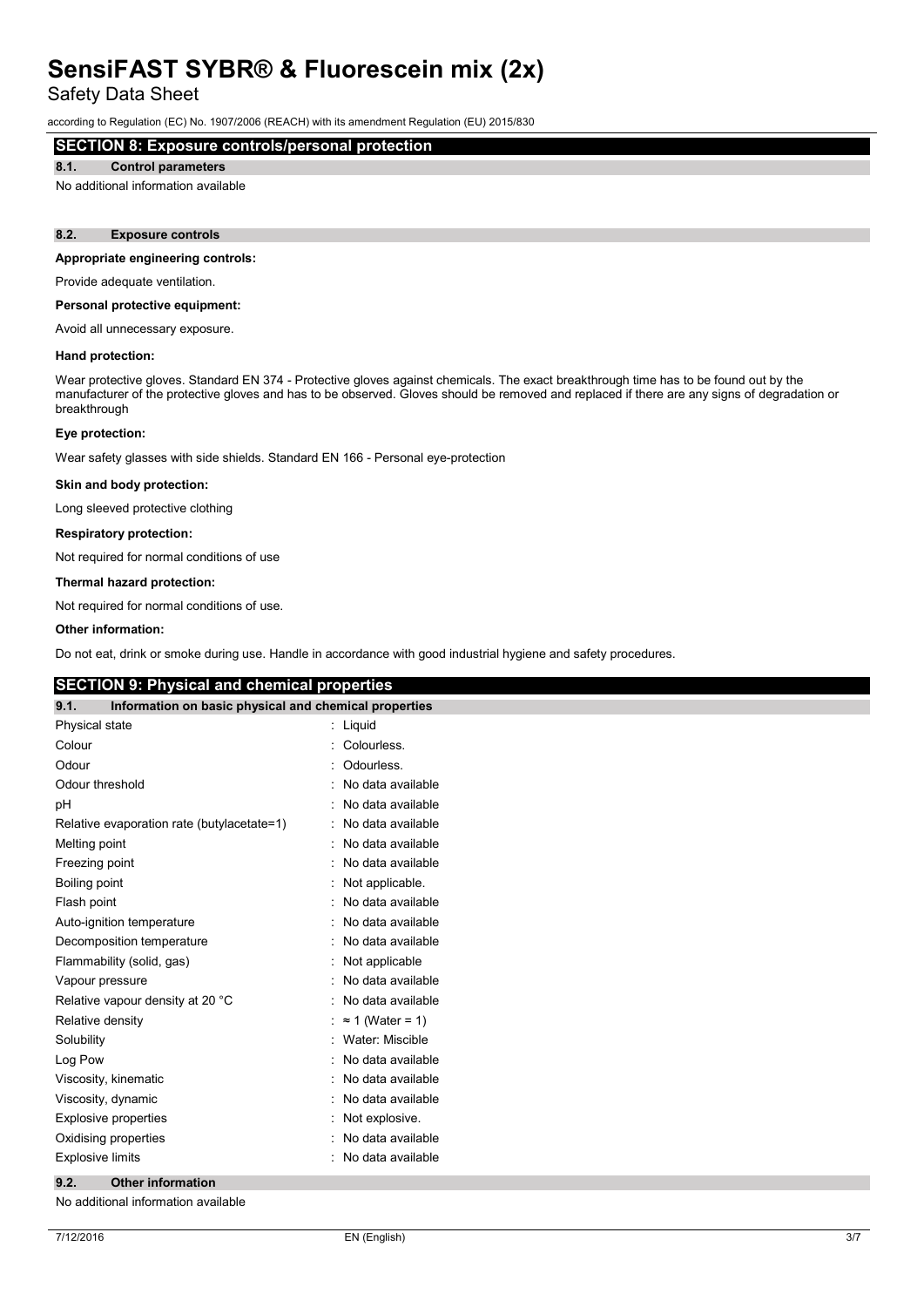Safety Data Sheet

according to Regulation (EC) No. 1907/2006 (REACH) with its amendment Regulation (EU) 2015/830

# **SECTION 8: Exposure controls/personal protection**

#### **8.1. Control parameters**

No additional information available

#### **8.2. Exposure controls**

#### **Appropriate engineering controls:**

Provide adequate ventilation.

#### **Personal protective equipment:**

Avoid all unnecessary exposure.

#### **Hand protection:**

Wear protective gloves. Standard EN 374 - Protective gloves against chemicals. The exact breakthrough time has to be found out by the manufacturer of the protective gloves and has to be observed. Gloves should be removed and replaced if there are any signs of degradation or breakthrough

#### **Eye protection:**

Wear safety glasses with side shields. Standard EN 166 - Personal eye-protection

#### **Skin and body protection:**

Long sleeved protective clothing

#### **Respiratory protection:**

Not required for normal conditions of use

#### **Thermal hazard protection:**

Not required for normal conditions of use.

#### **Other information:**

Do not eat, drink or smoke during use. Handle in accordance with good industrial hygiene and safety procedures.

### **SECTION 9: Physical and chemical properties**

| 9.1.<br>Information on basic physical and chemical properties |                         |
|---------------------------------------------------------------|-------------------------|
| Physical state                                                | Liquid<br>t.            |
| Colour                                                        | Colourless.             |
| Odour                                                         | Odourless.              |
| Odour threshold                                               | No data available       |
| рH                                                            | No data available       |
| Relative evaporation rate (butylacetate=1)                    | No data available       |
| Melting point                                                 | No data available       |
| Freezing point                                                | No data available       |
| Boiling point                                                 | Not applicable.         |
| Flash point                                                   | No data available       |
| Auto-ignition temperature                                     | No data available       |
| Decomposition temperature                                     | No data available       |
| Flammability (solid, gas)                                     | Not applicable          |
| Vapour pressure                                               | No data available       |
| Relative vapour density at 20 °C                              | No data available       |
| Relative density                                              | $\approx$ 1 (Water = 1) |
| Solubility                                                    | Water: Miscible         |
| Log Pow                                                       | No data available       |
| Viscosity, kinematic                                          | No data available       |
| Viscosity, dynamic                                            | No data available       |
| <b>Explosive properties</b>                                   | Not explosive.          |
| Oxidising properties                                          | No data available       |
| <b>Explosive limits</b>                                       | No data available       |

#### **9.2. Other information**

No additional information available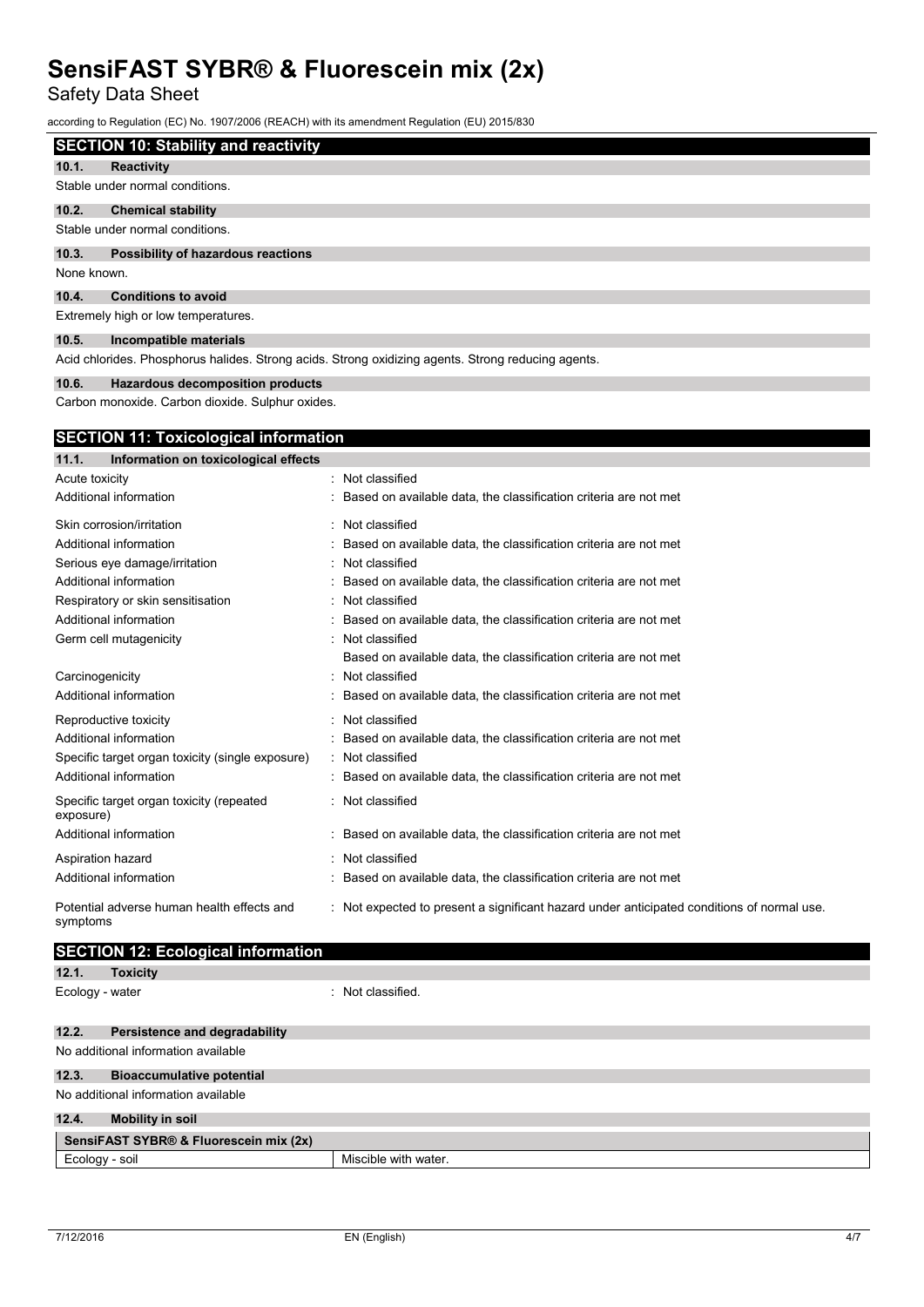Safety Data Sheet

according to Regulation (EC) No. 1907/2006 (REACH) with its amendment Regulation (EU) 2015/830

| <b>SECTION 10: Stability and reactivity</b>                    |
|----------------------------------------------------------------|
| $\mathbf{A} \mathbf{A}$ $\mathbf{B}$ $\mathbf{A}$ $\mathbf{B}$ |

**10.1. Reactivity** Stable under normal conditions.

**10.2. Chemical stability**

Stable under normal conditions.

## **10.3. Possibility of hazardous reactions**

None known.

**10.4. Conditions to avoid**

Extremely high or low temperatures.

#### **10.5. Incompatible materials**

Acid chlorides. Phosphorus halides. Strong acids. Strong oxidizing agents. Strong reducing agents.

#### **10.6. Hazardous decomposition products**

Carbon monoxide. Carbon dioxide. Sulphur oxides.

### **SECTION 11: Toxicological information**

| 11.1.<br>Information on toxicological effects         |                                                                                            |
|-------------------------------------------------------|--------------------------------------------------------------------------------------------|
| Acute toxicity                                        | : Not classified                                                                           |
| Additional information                                | : Based on available data, the classification criteria are not met                         |
| Skin corrosion/irritation                             | : Not classified                                                                           |
| Additional information                                | : Based on available data, the classification criteria are not met                         |
| Serious eye damage/irritation                         | : Not classified                                                                           |
| Additional information                                | : Based on available data, the classification criteria are not met                         |
| Respiratory or skin sensitisation                     | : Not classified                                                                           |
| Additional information                                | : Based on available data, the classification criteria are not met                         |
| Germ cell mutagenicity                                | : Not classified                                                                           |
|                                                       | Based on available data, the classification criteria are not met                           |
| Carcinogenicity                                       | : Not classified                                                                           |
| Additional information                                | : Based on available data, the classification criteria are not met                         |
| Reproductive toxicity                                 | : Not classified                                                                           |
| Additional information                                | : Based on available data, the classification criteria are not met                         |
| Specific target organ toxicity (single exposure)      | : Not classified                                                                           |
| Additional information                                | : Based on available data, the classification criteria are not met                         |
| Specific target organ toxicity (repeated<br>exposure) | : Not classified                                                                           |
| Additional information                                | : Based on available data, the classification criteria are not met                         |
| Aspiration hazard                                     | : Not classified                                                                           |
| Additional information                                | : Based on available data, the classification criteria are not met                         |
| Potential adverse human health effects and            | : Not expected to present a significant hazard under anticipated conditions of normal use. |

# **SECTION 12: Ecological information**

| <b>LOXICITV</b> |
|-----------------|
|                 |

symptoms

Ecology - water  $\qquad \qquad$ : Not classified.

# **12.2. Persistence and degradability** No additional information available **12.3. Bioaccumulative potential** No additional information available **12.4. Mobility in soil SensiFAST SYBR® & Fluorescein mix (2x)**  Ecology - soil **Ecology** - soil and the matter of  $\blacksquare$  Miscible with water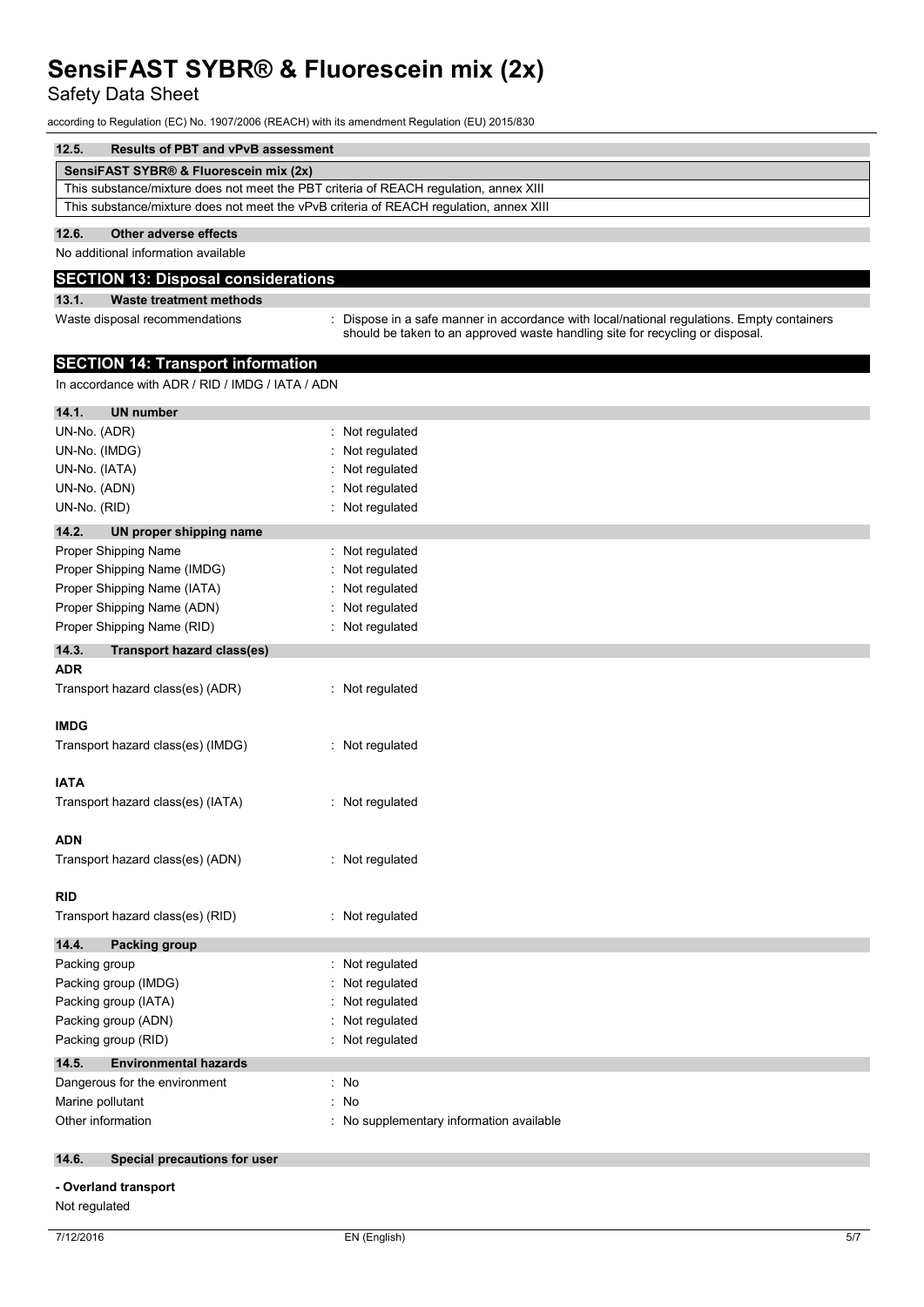Safety Data Sheet

according to Regulation (EC) No. 1907/2006 (REACH) with its amendment Regulation (EU) 2015/830

| 12.5.                                                                                  | <b>Results of PBT and vPvB assessment</b> |  |
|----------------------------------------------------------------------------------------|-------------------------------------------|--|
|                                                                                        | SensiFAST SYBR® & Fluorescein mix (2x)    |  |
| This substance/mixture does not meet the PBT criteria of REACH regulation, annex XIII  |                                           |  |
| This substance/mixture does not meet the vPvB criteria of REACH regulation, annex XIII |                                           |  |
| 12.6.                                                                                  | Other adverse effects                     |  |

No additional information available

#### **SECTION 13: Disposal considerations**

#### **13.1. Waste treatment methods**

Waste disposal recommendations in the state of propose in a safe manner in accordance with local/national regulations. Empty containers should be taken to an approved waste handling site for recycling or disposal.

### **SECTION 14: Transport information**

In accordance with ADR / RID / IMDG / IATA / ADN

| 14.1.<br><b>UN number</b>                  |                                        |
|--------------------------------------------|----------------------------------------|
| UN-No. (ADR)                               | Not regulated                          |
| UN-No. (IMDG)                              | Not regulated                          |
| UN-No. (IATA)                              | Not regulated                          |
| UN-No. (ADN)                               | Not regulated                          |
| UN-No. (RID)                               | Not regulated                          |
| 14.2.<br>UN proper shipping name           |                                        |
| Proper Shipping Name                       | Not regulated                          |
| Proper Shipping Name (IMDG)                | Not regulated                          |
| Proper Shipping Name (IATA)                | Not regulated                          |
| Proper Shipping Name (ADN)                 | Not regulated                          |
| Proper Shipping Name (RID)                 | Not regulated                          |
| 14.3.<br><b>Transport hazard class(es)</b> |                                        |
| <b>ADR</b>                                 |                                        |
| Transport hazard class(es) (ADR)           | : Not regulated                        |
| <b>IMDG</b>                                |                                        |
| Transport hazard class(es) (IMDG)          | : Not regulated                        |
| IATA                                       |                                        |
| Transport hazard class(es) (IATA)          | : Not regulated                        |
| <b>ADN</b>                                 |                                        |
| Transport hazard class(es) (ADN)           | : Not regulated                        |
| RID                                        |                                        |
| Transport hazard class(es) (RID)           | : Not regulated                        |
| 14.4.<br><b>Packing group</b>              |                                        |
| Packing group                              | Not regulated<br>÷                     |
| Packing group (IMDG)                       | Not regulated                          |
| Packing group (IATA)                       | Not regulated                          |
| Packing group (ADN)                        | Not regulated                          |
| Packing group (RID)                        | Not regulated                          |
| 14.5.<br><b>Environmental hazards</b>      |                                        |
| Dangerous for the environment              | : No                                   |
| Marine pollutant                           | No<br>÷                                |
| Other information                          | No supplementary information available |
| 14.6.<br>Special precautions for user      |                                        |
| - Overland transport                       |                                        |
| Not regulated                              |                                        |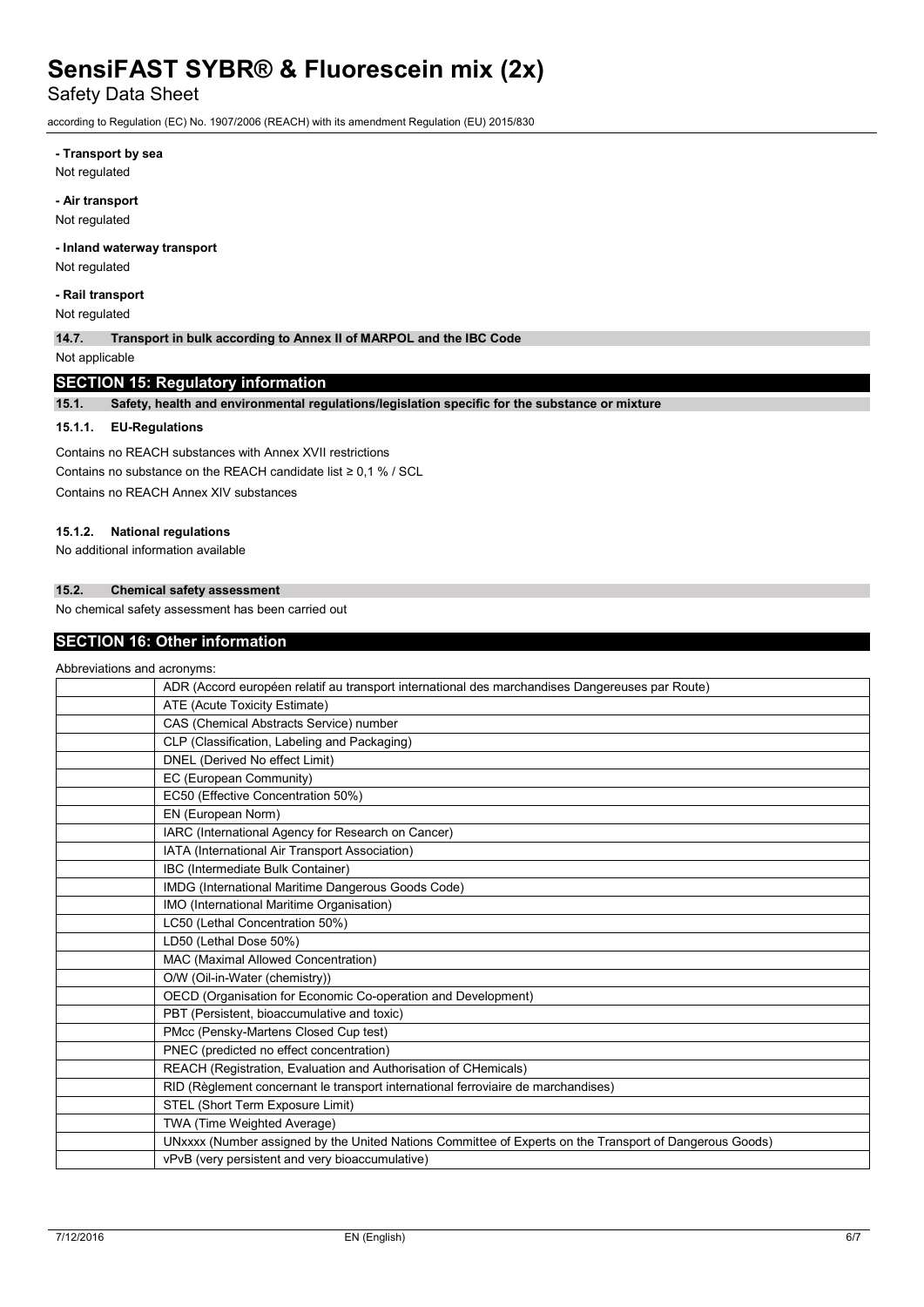Safety Data Sheet

according to Regulation (EC) No. 1907/2006 (REACH) with its amendment Regulation (EU) 2015/830

**- Transport by sea**

Not regulated

**- Air transport**

Not regulated

### **- Inland waterway transport**

Not regulated

**- Rail transport**

Not regulated

**14.7. Transport in bulk according to Annex II of MARPOL and the IBC Code**

Not applicable

## **SECTION 15: Regulatory information**

**15.1. Safety, health and environmental regulations/legislation specific for the substance or mixture**

#### **15.1.1. EU-Regulations**

Contains no REACH substances with Annex XVII restrictions Contains no substance on the RFACH candidate list  $\geq 0.1$  % / SCL Contains no REACH Annex XIV substances

#### **15.1.2. National regulations**

No additional information available

### **15.2. Chemical safety assessment**

No chemical safety assessment has been carried out

### **SECTION 16: Other information**

| Abbreviations and acronyms: |                                                                                                         |
|-----------------------------|---------------------------------------------------------------------------------------------------------|
|                             | ADR (Accord européen relatif au transport international des marchandises Dangereuses par Route)         |
|                             | ATE (Acute Toxicity Estimate)                                                                           |
|                             | CAS (Chemical Abstracts Service) number                                                                 |
|                             | CLP (Classification, Labeling and Packaging)                                                            |
|                             | DNEL (Derived No effect Limit)                                                                          |
|                             | EC (European Community)                                                                                 |
|                             | EC50 (Effective Concentration 50%)                                                                      |
|                             | EN (European Norm)                                                                                      |
|                             | IARC (International Agency for Research on Cancer)                                                      |
|                             | IATA (International Air Transport Association)                                                          |
|                             | IBC (Intermediate Bulk Container)                                                                       |
|                             | IMDG (International Maritime Dangerous Goods Code)                                                      |
|                             | IMO (International Maritime Organisation)                                                               |
|                             | LC50 (Lethal Concentration 50%)                                                                         |
|                             | LD50 (Lethal Dose 50%)                                                                                  |
|                             | MAC (Maximal Allowed Concentration)                                                                     |
|                             | O/W (Oil-in-Water (chemistry))                                                                          |
|                             | OECD (Organisation for Economic Co-operation and Development)                                           |
|                             | PBT (Persistent, bioaccumulative and toxic)                                                             |
|                             | PMcc (Pensky-Martens Closed Cup test)                                                                   |
|                             | PNEC (predicted no effect concentration)                                                                |
|                             | REACH (Registration, Evaluation and Authorisation of CHemicals)                                         |
|                             | RID (Règlement concernant le transport international ferroviaire de marchandises)                       |
|                             | STEL (Short Term Exposure Limit)                                                                        |
|                             | TWA (Time Weighted Average)                                                                             |
|                             | UNxxxx (Number assigned by the United Nations Committee of Experts on the Transport of Dangerous Goods) |
|                             | vPvB (very persistent and very bioaccumulative)                                                         |
|                             |                                                                                                         |